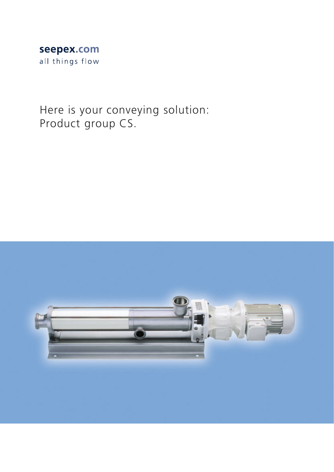# seepex.com all things flow

Here is your conveying solution: Product group CS.

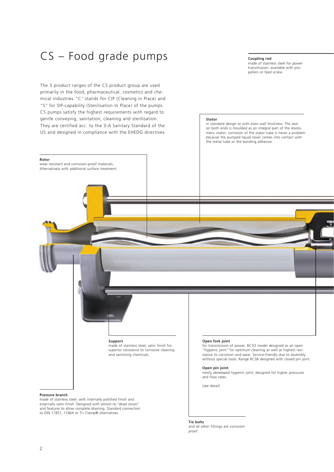# CS – Food grade pumps

The 3 product ranges of the CS product group are used primarily in the food, pharmaceutical, cosmetics and chemical industries. "C" stands for CIP (Cleaning in Place) and "S" for SIP-capability (Sterilisation In Place) of the pumps. CS pumps satisfy the highest requirements with regard to gentle conveying, sanitation, cleaning and sterilisation. They are certified acc. to the 3-A Sanitary Standard of the US and designed in compliance with the EHEDG directives.

# **Coupling rod**

in standard design or with even wall thickness. The seal on both ends is moulded as an integral part of the elastomeric stator; corrosion of the stator tube is never a problem because the pumped liquid never comes into contact with

the metal tube or the bonding adhesive.

made of stainless steel for power transmission, available with propellers or feed screw.

### **Stator**

**Open fork joint** for transmission of power, BCSO model designed as an open "hygienic joint" for optimum cleaning as well as highest resistance to corrosion and wear. Service-friendly due to assembly without special tools. Range BCSB designed with closed pin joint. **Open pin joint** newly developed hygienic joint, designed for higher pressures and flow rates. (see detail) **Support** made of stainless steel, satin finish for superior resistance to corrosive cleaning and sanitizing chemicals. **Rotor** wear resistant and corrosion-proof materials. Alternatively with additional surface treatment.

# **Pressure branch**

made of stainless steel, with internally polished finish and externally satin finish. Designed with almost no "dead zones" and features to allow complete draining. Standard connection to DIN 11851, 11864 or Tri Clamp® alternatives.

> **Tie bolts** and all other fittings are corrosion proof.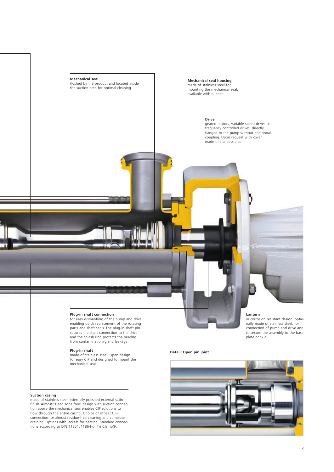

# **Plug-in shaft connection**

for easy dismantling of the pump and drive enabling quick replacement of the rotating parts and shaft seals. The plug-in shaft pin secures the shaft connection to the drive and the splash ring protects the bearing from contamination/gland leakage.

### **Plug-in shaft**

made of stainless steel. Open design for easy CIP and designed to mount the mechanical seal.

# **Suction casing**

made of stainless steel, internally polished external satin finish. Almost "Dead zone free" design with suction connection above the mechanical seal enables CIP solutions to flow through the entire casing. Choice of off-set CIP-connection for almost residue-free cleaning and complete draining. Options with jackets for heating. Standard connec-tions according to DIN 11851, 11864 or Tri Clamp®.

# **Lantern**

in corrosion resistant design, optionally made of stainless steel, for connection of pump and drive and to secure the assembly to the baseplate or skid.

# **Detail: Open pin joint**

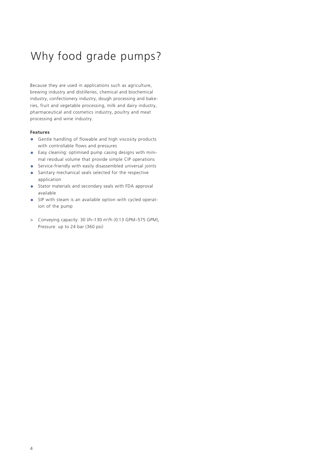# Why food grade pumps?

Because they are used in applications such as agriculture, brewing industry and distilleries, chemical and biochemical industry, confectionery industry, dough processing and bakeries, fruit and vegetable processing, milk and dairy industry, pharmaceutical and cosmetics industry, poultry and meat processing and wine industry.

# **Features**

- **•** Gentle handling of flowable and high viscosity products with controllable flows and pressures
- **•** Easy cleaning: optimised pump casing designs with mini mal residual volume that provide simple CIP operations
- **•** Service-friendly with easily disassembled universal joints
- **•** Sanitary mechanical seals selected for the respective application
- **•** Stator materials and secondary seals with FDA approval available
- SIP with steam is an available option with cycled operation of the pump
- > Conveying capacity: 30 l/h–130 m3 /h (0.13 GPM–575 GPM), Pressure: up to 24 bar (360 psi)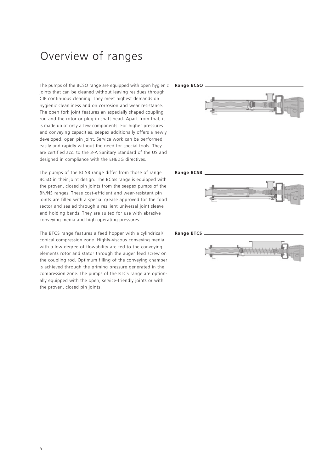# Overview of ranges

The pumps of the BCSO range are equipped with open hygienic **Range BCSO**joints that can be cleaned without leaving residues through CIP continuous cleaning. They meet highest demands on hygienic cleanliness and on corrosion and wear resistance. The open fork joint features an especially shaped coupling rod and the rotor or plug-in shaft head. Apart from that, it is made up of only a few components. For higher pressures and conveying capacities, seepex additionally offers a newly developed, open pin joint. Service work can be performed easily and rapidly without the need for special tools. They are certified acc. to the 3-A Sanitary Standard of the US and designed in compliance with the EHEDG directives.

The pumps of the BCSB range differ from those of range BCSO in their joint design. The BCSB range is equipped with the proven, closed pin joints from the seepex pumps of the BN/NS ranges. These cost-efficient and wear-resistant pin joints are filled with a special grease approved for the food sector and sealed through a resilient universal joint sleeve and holding bands. They are suited for use with abrasive conveying media and high operating pressures.

The BTCS range features a feed hopper with a cylindrical/ conical compression zone. Highly-viscous conveying media with a low degree of flowability are fed to the conveying elements rotor and stator through the auger feed screw on the coupling rod. Optimum filling of the conveying chamber is achieved through the priming pressure generated in the compression zone. The pumps of the BTCS range are optionally equipped with the open, service-friendly joints or with the proven, closed pin joints.



### **Range BCSB**



# **Range BTCS**